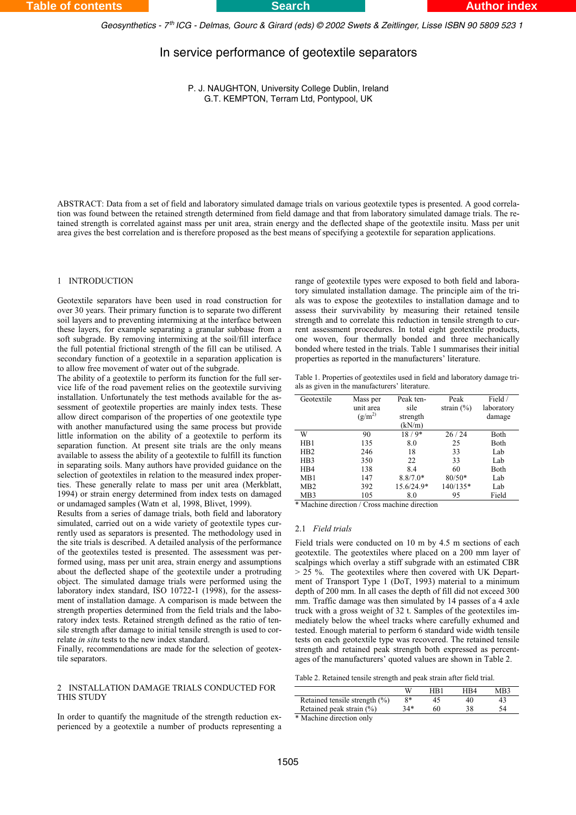*Geosynthetics - 7 ICG - Delmas, Gourc & Girard (eds) © 2002 Swets & Zeitlinger, Lisse ISBN 90 5809 523 1 th*

# In service performance of geotextile separators

P. J. NAUGHTON, University College Dublin, Ireland G.T. KEMPTON, Terram Ltd, Pontypool, UK

ABSTRACT: Data from a set of field and laboratory simulated damage trials on various geotextile types is presented. A good correlation was found between the retained strength determined from field damage and that from laboratory simulated damage trials. The retained strength is correlated against mass per unit area, strain energy and the deflected shape of the geotextile insitu. Mass per unit area gives the best correlation and is therefore proposed as the best means of specifying a geotextile for separation applications.

# 1 INTRODUCTION

Geotextile separators have been used in road construction for over 30 years. Their primary function is to separate two different soil layers and to preventing intermixing at the interface between these layers, for example separating a granular subbase from a soft subgrade. By removing intermixing at the soil/fill interface the full potential frictional strength of the fill can be utilised. A secondary function of a geotextile in a separation application is to allow free movement of water out of the subgrade.

The ability of a geotextile to perform its function for the full service life of the road pavement relies on the geotextile surviving installation. Unfortunately the test methods available for the assessment of geotextile properties are mainly index tests. These allow direct comparison of the properties of one geotextile type with another manufactured using the same process but provide little information on the ability of a geotextile to perform its separation function. At present site trials are the only means available to assess the ability of a geotextile to fulfill its function in separating soils. Many authors have provided guidance on the selection of geotextiles in relation to the measured index properties. These generally relate to mass per unit area (Merkblatt, 1994) or strain energy determined from index tests on damaged or undamaged samples (Watn et al, 1998, Blivet, 1999).

Results from a series of damage trials, both field and laboratory simulated, carried out on a wide variety of geotextile types currently used as separators is presented. The methodology used in the site trials is described. A detailed analysis of the performance of the geotextiles tested is presented. The assessment was performed using, mass per unit area, strain energy and assumptions about the deflected shape of the geotextile under a protruding object. The simulated damage trials were performed using the laboratory index standard, ISO 10722-1 (1998), for the assessment of installation damage. A comparison is made between the strength properties determined from the field trials and the laboratory index tests. Retained strength defined as the ratio of tensile strength after damage to initial tensile strength is used to correlate *in situ* tests to the new index standard.

Finally, recommendations are made for the selection of geotextile separators.

## 2 INSTALLATION DAMAGE TRIALS CONDUCTED FOR THIS STUDY

In order to quantify the magnitude of the strength reduction experienced by a geotextile a number of products representing a

range of geotextile types were exposed to both field and laboratory simulated installation damage. The principle aim of the trials was to expose the geotextiles to installation damage and to assess their survivability by measuring their retained tensile strength and to correlate this reduction in tensile strength to current assessment procedures. In total eight geotextile products, one woven, four thermally bonded and three mechanically bonded where tested in the trials. Table 1 summarises their initial properties as reported in the manufacturers' literature.

|  | Table 1. Properties of geotextiles used in field and laboratory damage tri- |  |  |  |
|--|-----------------------------------------------------------------------------|--|--|--|
|  | als as given in the manufacturers' literature.                              |  |  |  |

| Geotextile       | Mass per<br>unit area<br>$(g/m^2)$ | Peak ten-<br>sile<br>strength<br>(kN/m) | Peak<br>strain $(\% )$ | Field /<br>laboratory<br>damage |
|------------------|------------------------------------|-----------------------------------------|------------------------|---------------------------------|
| W                | 90                                 | $18/9*$                                 | 26/24                  | Both                            |
| HB1              | 135                                | 8.0                                     | 25                     | Both                            |
| HB2              | 246                                | 18                                      | 33                     | Lab                             |
| H <sub>B</sub> 3 | 350                                | 22                                      | 33                     | Lab                             |
| H <sub>B4</sub>  | 138                                | 8.4                                     | 60                     | Both                            |
| MB1              | 147                                | $8.8/7.0*$                              | $80/50*$               | Lab                             |
| M <sub>B</sub> 2 | 392                                | 15.6/24.9*                              | 140/135*               | Lab                             |
| MB3              | 105                                | 8.0                                     | 95                     | Field                           |

\* Machine direction / Cross machine direction

### 2.1 *Field trials*

Field trials were conducted on 10 m by 4.5 m sections of each geotextile. The geotextiles where placed on a 200 mm layer of scalpings which overlay a stiff subgrade with an estimated CBR > 25 %. The geotextiles where then covered with UK Department of Transport Type 1 (DoT, 1993) material to a minimum depth of 200 mm. In all cases the depth of fill did not exceed 300 mm. Traffic damage was then simulated by 14 passes of a 4 axle truck with a gross weight of 32 t. Samples of the geotextiles immediately below the wheel tracks where carefully exhumed and tested. Enough material to perform 6 standard wide width tensile tests on each geotextile type was recovered. The retained tensile strength and retained peak strength both expressed as percentages of the manufacturers' quoted values are shown in Table 2.

Table 2. Retained tensile strength and peak strain after field trial.

|                                   |     | HR 1 | HR4 | MR3 |
|-----------------------------------|-----|------|-----|-----|
| Retained tensile strength $(\% )$ | Q*  |      | 40  |     |
| Retained peak strain $(\%)$       | 34* |      |     |     |
| .                                 |     |      |     |     |

\* Machine direction only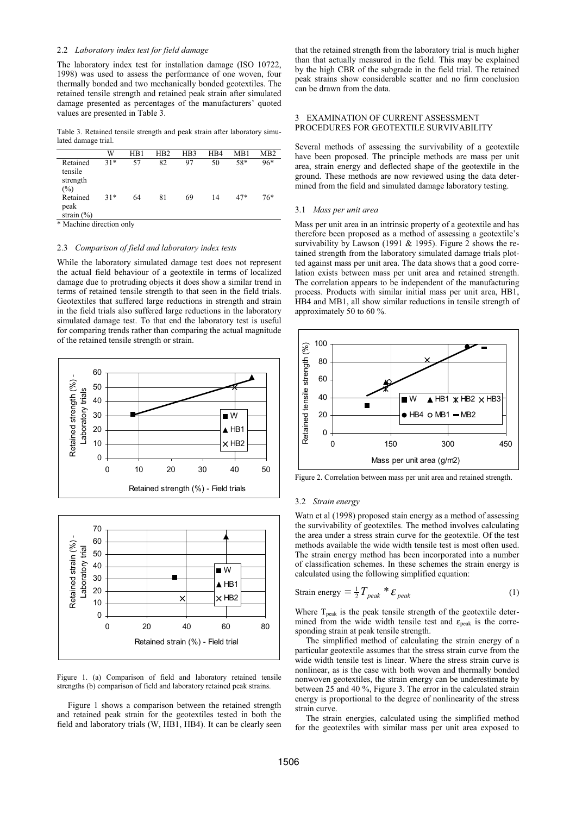# 2.2 *Laboratory index test for field damage*

The laboratory index test for installation damage (ISO 10722, 1998) was used to assess the performance of one woven, four thermally bonded and two mechanically bonded geotextiles. The retained tensile strength and retained peak strain after simulated damage presented as percentages of the manufacturers' quoted values are presented in Table 3.

Table 3. Retained tensile strength and peak strain after laboratory simulated damage trial.

|                                        | W     | HB1 | H <sub>B2</sub> | H <sub>B</sub> 3 | H <sub>B4</sub> | MB1   | M <sub>B</sub> 2 |
|----------------------------------------|-------|-----|-----------------|------------------|-----------------|-------|------------------|
| Retained<br>tensile<br>strength<br>(%) | $31*$ | 57  | 82              | 97               | 50              | 58*   | 96*              |
| Retained<br>peak<br>strain $(\%)$      | $31*$ | 64  | 81              | 69               | 14              | $47*$ | 76*              |
|                                        |       |     |                 |                  |                 |       |                  |

\* Machine direction only

#### 2.3 *Comparison of field and laboratory index tests*

While the laboratory simulated damage test does not represent the actual field behaviour of a geotextile in terms of localized damage due to protruding objects it does show a similar trend in terms of retained tensile strength to that seen in the field trials. Geotextiles that suffered large reductions in strength and strain in the field trials also suffered large reductions in the laboratory simulated damage test. To that end the laboratory test is useful for comparing trends rather than comparing the actual magnitude of the retained tensile strength or strain.





Figure 1. (a) Comparison of field and laboratory retained tensile strengths (b) comparison of field and laboratory retained peak strains.

Figure 1 shows a comparison between the retained strength and retained peak strain for the geotextiles tested in both the field and laboratory trials (W, HB1, HB4). It can be clearly seen

that the retained strength from the laboratory trial is much higher than that actually measured in the field. This may be explained by the high CBR of the subgrade in the field trial. The retained peak strains show considerable scatter and no firm conclusion can be drawn from the data.

# 3 EXAMINATION OF CURRENT ASSESSMENT PROCEDURES FOR GEOTEXTILE SURVIVABILITY

Several methods of assessing the survivability of a geotextile have been proposed. The principle methods are mass per unit area, strain energy and deflected shape of the geotextile in the ground. These methods are now reviewed using the data determined from the field and simulated damage laboratory testing.

#### 3.1 *Mass per unit area*

Mass per unit area in an intrinsic property of a geotextile and has therefore been proposed as a method of assessing a geotextile's survivability by Lawson (1991 & 1995). Figure 2 shows the retained strength from the laboratory simulated damage trials plotted against mass per unit area. The data shows that a good correlation exists between mass per unit area and retained strength. The correlation appears to be independent of the manufacturing process. Products with similar initial mass per unit area, HB1, HB4 and MB1, all show similar reductions in tensile strength of approximately 50 to 60 %.



Figure 2. Correlation between mass per unit area and retained strength.

#### 3.2 *Strain energy*

Watn et al (1998) proposed stain energy as a method of assessing the survivability of geotextiles. The method involves calculating the area under a stress strain curve for the geotextile. Of the test methods available the wide width tensile test is most often used. The strain energy method has been incorporated into a number of classification schemes. In these schemes the strain energy is calculated using the following simplified equation:

Strain energy 
$$
=\frac{1}{2}T_{peak} * \mathcal{E}_{peak}
$$
 (1)

Where  $T_{peak}$  is the peak tensile strength of the geotextile determined from the wide width tensile test and  $\varepsilon_{\text{neak}}$  is the corresponding strain at peak tensile strength.

The simplified method of calculating the strain energy of a particular geotextile assumes that the stress strain curve from the wide width tensile test is linear. Where the stress strain curve is nonlinear, as is the case with both woven and thermally bonded nonwoven geotextiles, the strain energy can be underestimate by between 25 and 40 %, Figure 3. The error in the calculated strain energy is proportional to the degree of nonlinearity of the stress strain curve.

The strain energies, calculated using the simplified method for the geotextiles with similar mass per unit area exposed to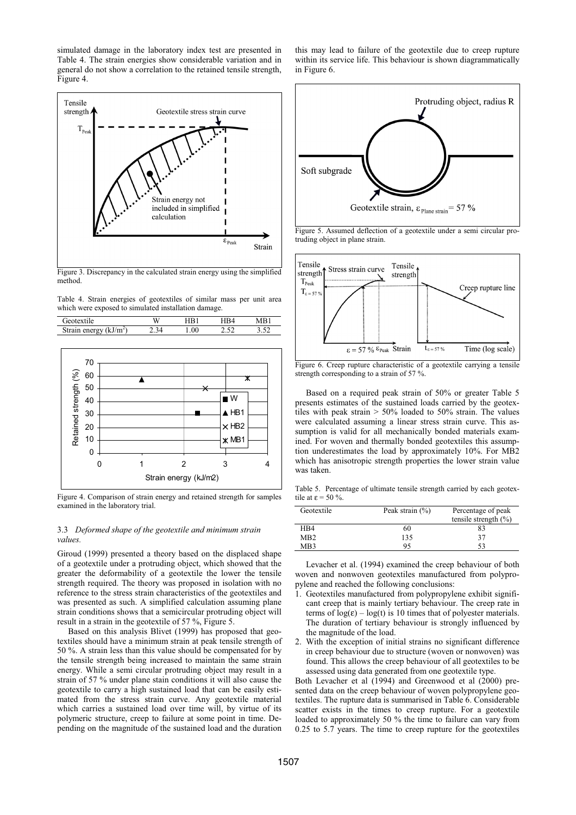simulated damage in the laboratory index test are presented in Table 4. The strain energies show considerable variation and in general do not show a correlation to the retained tensile strength, Figure 4.



Figure 3. Discrepancy in the calculated strain energy using the simplified method.

Table 4. Strain energies of geotextiles of similar mass per unit area which were exposed to simulated installation damage.

| m-<br><u> سىر</u> |  | 511 | $\sim$ |
|-------------------|--|-----|--------|



Figure 4. Comparison of strain energy and retained strength for samples examined in the laboratory trial.

## 3.3 *Deformed shape of the geotextile and minimum strain values.*

Giroud (1999) presented a theory based on the displaced shape of a geotextile under a protruding object, which showed that the greater the deformability of a geotextile the lower the tensile strength required. The theory was proposed in isolation with no reference to the stress strain characteristics of the geotextiles and was presented as such. A simplified calculation assuming plane strain conditions shows that a semicircular protruding object will result in a strain in the geotextile of 57 %, Figure 5.

Based on this analysis Blivet (1999) has proposed that geotextiles should have a minimum strain at peak tensile strength of 50 %. A strain less than this value should be compensated for by the tensile strength being increased to maintain the same strain energy. While a semi circular protruding object may result in a strain of 57 % under plane stain conditions it will also cause the geotextile to carry a high sustained load that can be easily estimated from the stress strain curve. Any geotextile material which carries a sustained load over time will, by virtue of its polymeric structure, creep to failure at some point in time. Depending on the magnitude of the sustained load and the duration

this may lead to failure of the geotextile due to creep rupture within its service life. This behaviour is shown diagrammatically in Figure 6.



Figure 5. Assumed deflection of a geotextile under a semi circular protruding object in plane strain.



Figure 6. Creep rupture characteristic of a geotextile carrying a tensile strength corresponding to a strain of 57 %.

Based on a required peak strain of 50% or greater Table 5 presents estimates of the sustained loads carried by the geotextiles with peak strain > 50% loaded to 50% strain. The values were calculated assuming a linear stress strain curve. This assumption is valid for all mechanically bonded materials examined. For woven and thermally bonded geotextiles this assumption underestimates the load by approximately 10%. For MB2 which has anisotropic strength properties the lower strain value was taken.

Table 5. Percentage of ultimate tensile strength carried by each geotextile at  $\epsilon = 50\%$ 

| Geotextile       | Peak strain $(\%)$ | Percentage of peak<br>tensile strength $(\% )$ |
|------------------|--------------------|------------------------------------------------|
| H <sub>B</sub> 4 | 60                 | 83                                             |
| M <sub>B</sub> 2 | 135                | 37                                             |
| MB3              | 95                 | 53                                             |

Levacher et al. (1994) examined the creep behaviour of both woven and nonwoven geotextiles manufactured from polypropylene and reached the following conclusions:

- 1. Geotextiles manufactured from polypropylene exhibit significant creep that is mainly tertiary behaviour. The creep rate in terms of  $log(\epsilon) - log(t)$  is 10 times that of polyester materials. The duration of tertiary behaviour is strongly influenced by the magnitude of the load.
- 2. With the exception of initial strains no significant difference in creep behaviour due to structure (woven or nonwoven) was found. This allows the creep behaviour of all geotextiles to be assessed using data generated from one geotextile type.

Both Levacher et al (1994) and Greenwood et al (2000) presented data on the creep behaviour of woven polypropylene geotextiles. The rupture data is summarised in Table 6. Considerable scatter exists in the times to creep rupture. For a geotextile loaded to approximately 50 % the time to failure can vary from 0.25 to 5.7 years. The time to creep rupture for the geotextiles